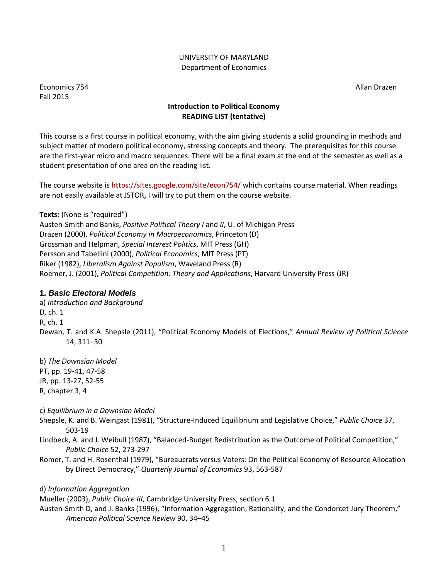#### UNIVERSITY OF MARYLAND Department of Economics

Economics 754 Allan Drazen Fall 2015

# **Introduction to Political Economy READING LIST (tentative)**

This course is a first course in political economy, with the aim giving students a solid grounding in methods and subject matter of modern political economy, stressing concepts and theory. The prerequisites for this course are the first-year micro and macro sequences. There will be a final exam at the end of the semester as well as a student presentation of one area on the reading list.

The course website is<https://sites.google.com/site/econ754/> which contains course material. When readings are not easily available at JSTOR, I will try to put them on the course website.

**Texts:** (None is "required") Austen-Smith and Banks, *Positive Political Theory I* and *II*, U. of Michigan Press Drazen (2000), *Political Economy in Macroeconomics*, Princeton (D) Grossman and Helpman, *Special Interest Politics*, MIT Press (GH) Persson and Tabellini (2000), *Political Economics*, MIT Press (PT) Riker (1982), *Liberalism Against Populism*, Waveland Press (R) Roemer, J. (2001), *Political Competition: Theory and Applications*, Harvard University Press (JR)

# **1.** *Basic Electoral Models*

a) *Introduction and Background* D, ch. 1 R, ch. 1 Dewan, T. and K.A. Shepsle (2011), "Political Economy Models of Elections," *Annual Review of Political Science* 14, 311–30

b) *The Downsian Model* PT, pp. 19-41, 47-58 JR, pp. 13-27, 52-55 R, chapter 3, 4

c) *Equilibrium in a Downsian Model*

Shepsle, K. and B. Weingast (1981), "Structure-Induced Equilibrium and Legislative Choice," *Public Choice* 37, 503-19

- Lindbeck, A. and J. Weibull (1987), "Balanced-Budget Redistribution as the Outcome of Political Competition," *Public Choice* 52, 273-297
- Romer, T. and H. Rosenthal (1979), "Bureaucrats versus Voters: On the Political Economy of Resource Allocation by Direct Democracy," *Quarterly Journal of Economics* 93, 563-587

d) *Information Aggregation*

Mueller (2003), *Public Choice III*, Cambridge University Press, section 6.1

Austen-Smith D, and J. Banks (1996), "Information Aggregation, Rationality, and the Condorcet Jury Theorem," *American Political Science Review* 90, 34–45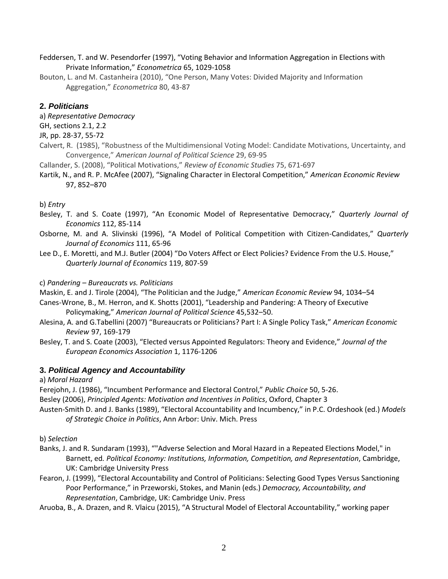- Feddersen, T. and W. Pesendorfer (1997), "Voting Behavior and Information Aggregation in Elections with Private Information," *Econometrica* 65, 1029-1058
- Bouton, L. and M. Castanheira (2010), "One Person, Many Votes: Divided Majority and Information Aggregation," *Econometrica* 80, 43-87

## **2.** *Politicians*

- a) *Representative Democracy*
- GH, sections 2.1, 2.2
- JR, pp. 28-37, 55-72
- Calvert, R. (1985), "Robustness of the Multidimensional Voting Model: Candidate Motivations, Uncertainty, and Convergence," *American Journal of Political Science* 29, 69-95
- Callander, S. (2008), "Political Motivations," *Review of Economic Studies* 75, 671-697
- Kartik, N., and R. P. McAfee (2007), "Signaling Character in Electoral Competition," *American Economic Review* 97, 852–870

## b) *Entry*

- Besley, T. and S. Coate (1997), "An Economic Model of Representative Democracy," *Quarterly Journal of Economics* 112, 85-114
- Osborne, M. and A. Slivinski (1996), "A Model of Political Competition with Citizen-Candidates," *Quarterly Journal of Economics* 111, 65-96
- Lee D., E. Moretti, and M.J. Butler (2004) "Do Voters Affect or Elect Policies? Evidence From the U.S. House," *Quarterly Journal of Economics* 119, 807-59

## c) *Pandering – Bureaucrats vs. Politicians*

Maskin, E. and J. Tirole (2004), "The Politician and the Judge," *American Economic Review* 94, 1034–54

- Canes-Wrone, B., M. Herron, and K. Shotts (2001), "Leadership and Pandering: A Theory of Executive Policymaking," *American Journal of Political Science* 45,532–50.
- Alesina, A. and G.Tabellini (2007) "Bureaucrats or Politicians? Part I: A Single Policy Task," *American Economic Review* 97, 169‐179
- Besley, T. and S. Coate (2003), "Elected versus Appointed Regulators: Theory and Evidence," *Journal of the European Economics Association* 1, 1176-1206

# **3.** *Political Agency and Accountability*

a) *Moral Hazard*

Ferejohn, J. (1986), "Incumbent Performance and Electoral Control," *Public Choice* 50, 5-26.

Besley (2006), *Principled Agents: Motivation and Incentives in Politics*, Oxford, Chapter 3

Austen-Smith D. and J. Banks (1989), "Electoral Accountability and Incumbency," in P.C. Ordeshook (ed.) *Models of Strategic Choice in Politics*, Ann Arbor: Univ. Mich. Press

b) *Selection*

- Banks, J. and R. Sundaram (1993), ""Adverse Selection and Moral Hazard in a Repeated Elections Model," in Barnett, ed*. Political Economy: Institutions, Information, Competition, and Representation*, Cambridge, UK: Cambridge University Press
- Fearon, J. (1999), "Electoral Accountability and Control of Politicians: Selecting Good Types Versus Sanctioning Poor Performance," in Przeworski, Stokes, and Manin (eds.) *Democracy, Accountability, and Representation*, Cambridge, UK: Cambridge Univ. Press

Aruoba, B., A. Drazen, and R. Vlaicu (2015), "A Structural Model of Electoral Accountability," working paper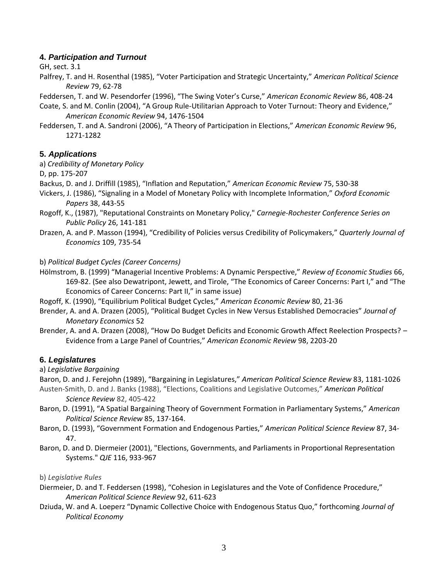## **4.** *Participation and Turnout*

GH, sect. 3.1

Palfrey, T. and H. Rosenthal (1985), "Voter Participation and Strategic Uncertainty," *American Political Science Review* 79, 62-78

Feddersen, T. and W. Pesendorfer (1996), "The Swing Voter's Curse," *American Economic Review* 86, 408-24

- Coate, S. and M. Conlin (2004), "A Group Rule-Utilitarian Approach to Voter Turnout: Theory and Evidence," *American Economic Review* 94, 1476-1504
- Feddersen, T. and A. Sandroni (2006), "A Theory of Participation in Elections," *American Economic Review* 96, 1271-1282

## **5.** *Applications*

a) *Credibility of Monetary Policy*

D, pp. 175-207

- Backus, D. and J. Driffill (1985), "Inflation and Reputation," *American Economic Review* 75, 530-38
- Vickers, J. (1986), "Signaling in a Model of Monetary Policy with Incomplete Information," *Oxford Economic Papers* 38, 443-55
- Rogoff, K., (1987), "Reputational Constraints on Monetary Policy," *Carnegie-Rochester Conference Series on Public Policy* 26, 141-181
- Drazen, A. and P. Masson (1994), "Credibility of Policies versus Credibility of Policymakers," *Quarterly Journal of Economics* 109, 735-54

### b) *Political Budget Cycles (Career Concerns)*

- Hölmstrom, B. (1999) "Managerial Incentive Problems: A Dynamic Perspective," *Review of Economic Studies* 66, 169-82. (See also Dewatripont, Jewett, and Tirole, "The Economics of Career Concerns: Part I," and "The Economics of Career Concerns: Part II," in same issue)
- Rogoff, K. (1990), "Equilibrium Political Budget Cycles," *American Economic Review* 80, 21-36
- Brender, A. and A. Drazen (2005), "Political Budget Cycles in New Versus Established Democracies" *Journal of Monetary Economics* 52
- Brender, A. and A. Drazen (2008), "How Do Budget Deficits and Economic Growth Affect Reelection Prospects? Evidence from a Large Panel of Countries," *American Economic Review* 98, 2203-20

## **6.** *Legislatures*

a) *Legislative Bargaining* 

Baron, D. and J. Ferejohn (1989), "Bargaining in Legislatures," *American Political Science Review* 83, 1181-1026 Austen-Smith, D. and J. Banks (1988), "Elections, Coalitions and Legislative Outcomes," *American Political* 

*Science Review* 82, 405-422

- Baron, D. (1991), "A Spatial Bargaining Theory of Government Formation in Parliamentary Systems," *American Political Science Review* 85, 137-164.
- Baron, D. (1993), "Government Formation and Endogenous Parties," *American Political Science Review* 87, 34- 47.
- Baron, D. and D. Diermeier (2001), "Elections, Governments, and Parliaments in Proportional Representation Systems." *QJE* 116, 933-967

b) *Legislative Rules*

- Diermeier, D. and T. Feddersen (1998), "Cohesion in Legislatures and the Vote of Confidence Procedure," *American Political Science Review* 92, 611-623
- Dziuda, W. and A. Loeperz "Dynamic Collective Choice with Endogenous Status Quo," forthcoming *Journal of Political Economy*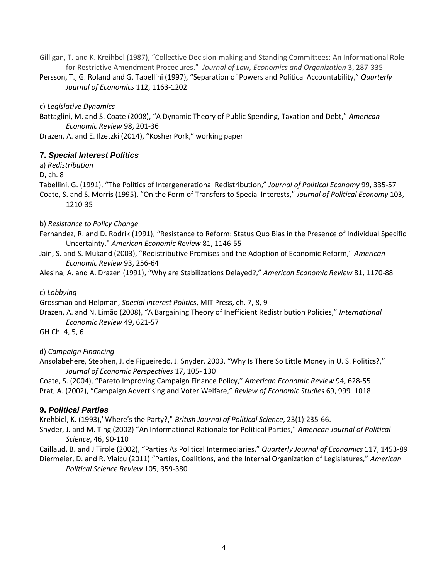- Gilligan, T. and K. Kreihbel (1987), "Collective Decision-making and Standing Committees: An Informational Role for Restrictive Amendment Procedures." *Journal of Law, Economics and Organization* 3, 287-335
- Persson, T., G. Roland and G. Tabellini (1997), "Separation of Powers and Political Accountability," *Quarterly Journal of Economics* 112, 1163-1202

c) *Legislative Dynamics*

Battaglini, M. and S. Coate (2008), "A Dynamic Theory of Public Spending, Taxation and Debt," *American Economic Review* 98, 201-36

Drazen, A. and E. Ilzetzki (2014), "Kosher Pork," working paper

## **7.** *Special Interest Politics*

a) *Redistribution*

D, ch. 8

Tabellini, G. (1991), "The Politics of Intergenerational Redistribution," *Journal of Political Economy* 99, 335-57 Coate, S. and S. Morris (1995), "On the Form of Transfers to Special Interests," *Journal of Political Economy* 103, 1210-35

### b) *Resistance to Policy Change*

- Fernandez, R. and D. Rodrik (1991), "Resistance to Reform: Status Quo Bias in the Presence of Individual Specific Uncertainty," *American Economic Review* 81, 1146-55
- Jain, S. and S. Mukand (2003), "Redistributive Promises and the Adoption of Economic Reform," *American Economic Review* 93, 256-64

Alesina, A. and A. Drazen (1991), "Why are Stabilizations Delayed?," *American Economic Review* 81, 1170-88

#### c) *Lobbying*

Grossman and Helpman, *Special Interest Politics*, MIT Press, ch. 7, 8, 9

Drazen, A. and N. Limão (2008), "A Bargaining Theory of Inefficient Redistribution Policies," *International Economic Review* 49, 621-57

GH Ch. 4, 5, 6

## d) *Campaign Financing*

Ansolabehere, Stephen, J. de Figueiredo, J. Snyder, 2003, "Why Is There So Little Money in U. S. Politics?," *Journal of Economic Perspectives* 17, 105- 130

Coate, S. (2004), "Pareto Improving Campaign Finance Policy," *American Economic Review* 94, 628-55 Prat, A. (2002), "Campaign Advertising and Voter Welfare," *Review of Economic Studies* 69, 999–1018

## **9.** *Political Parties*

Krehbiel, K. (1993),"Where's the Party?," *British Journal of Political Science*, 23(1):235-66.

Snyder, J. and M. Ting (2002) "An Informational Rationale for Political Parties," *American Journal of Political Science*, 46, 90-110

Caillaud, B. and J Tirole (2002), "Parties As Political Intermediaries," *Quarterly Journal of Economics* 117, 1453-89 Diermeier, D. and R. Vlaicu (2011) "Parties, Coalitions, and the Internal Organization of Legislatures," *American Political Science Review* 105, 359-380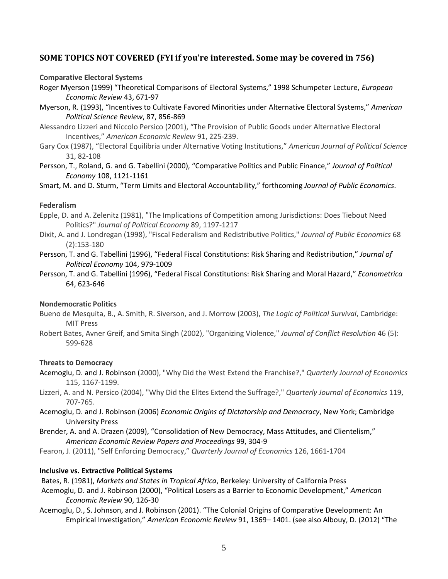# **SOME TOPICS NOT COVERED (FYI if you're interested. Some may be covered in 756)**

#### **Comparative Electoral Systems**

Roger Myerson (1999) "Theoretical Comparisons of Electoral Systems," 1998 Schumpeter Lecture, *European Economic Review* 43, 671-97

- Myerson, R. (1993), "Incentives to Cultivate Favored Minorities under Alternative Electoral Systems," *American Political Science Review*, 87, 856-869
- Alessandro Lizzeri and Niccolo Persico (2001), "The Provision of Public Goods under Alternative Electoral Incentives," *American Economic Review* 91, 225-239.
- Gary Cox (1987), "Electoral Equilibria under Alternative Voting Institutions," *American Journal of Political Science* 31, 82-108
- Persson, T., Roland, G. and G. Tabellini (2000), "Comparative Politics and Public Finance," *Journal of Political Economy* 108, 1121-1161

Smart, M. and D. Sturm, "Term Limits and Electoral Accountability," forthcoming *Journal of Public Economics*.

### **Federalism**

- Epple, D. and A. Zelenitz (1981), "The Implications of Competition among Jurisdictions: Does Tiebout Need Politics?" *Journal of Political Economy* 89, 1197-1217
- Dixit, A. and J. Londregan (1998), "Fiscal Federalism and Redistributive Politics," *Journal of Public Economics* 68 (2):153-180
- Persson, T. and G. Tabellini (1996), "Federal Fiscal Constitutions: Risk Sharing and Redistribution," *Journal of Political Economy* 104, 979-1009
- Persson, T. and G. Tabellini (1996), "Federal Fiscal Constitutions: Risk Sharing and Moral Hazard," *Econometrica* 64, 623-646

#### **Nondemocratic Politics**

- Bueno de Mesquita, B., A. Smith, R. Siverson, and J. Morrow (2003), *The Logic of Political Survival*, Cambridge: MIT Press
- Robert Bates, Avner Greif, and Smita Singh (2002), "Organizing Violence," *Journal of Conflict Resolution* 46 (5): 599-628

#### **Threats to Democracy**

- Acemoglu, D. and J. Robinson (2000), "Why Did the West Extend the Franchise?," *Quarterly Journal of Economics* 115, 1167-1199.
- Lizzeri, A. and N. Persico (2004), "Why Did the Elites Extend the Suffrage?," *Quarterly Journal of Economics* 119, 707-765.
- Acemoglu, D. and J. Robinson (2006) *Economic Origins of Dictatorship and Democracy*, New York; Cambridge University Press
- Brender, A. and A. Drazen (2009), "Consolidation of New Democracy, Mass Attitudes, and Clientelism," *American Economic Review Papers and Proceedings* 99, 304-9
- Fearon, J. (2011), "Self Enforcing Democracy," *Quarterly Journal of Economics* 126, 1661-1704

#### **Inclusive vs. Extractive Political Systems**

Bates, R. (1981), *Markets and States in Tropical Africa*, Berkeley: University of California Press

- Acemoglu, D. and J. Robinson (2000), "Political Losers as a Barrier to Economic Development," *American Economic Review* 90, 126-30
- Acemoglu, D., S. Johnson, and J. Robinson (2001). "The Colonial Origins of Comparative Development: An Empirical Investigation," *American Economic Review* 91, 1369– 1401. (see also Albouy, D. (2012) "The